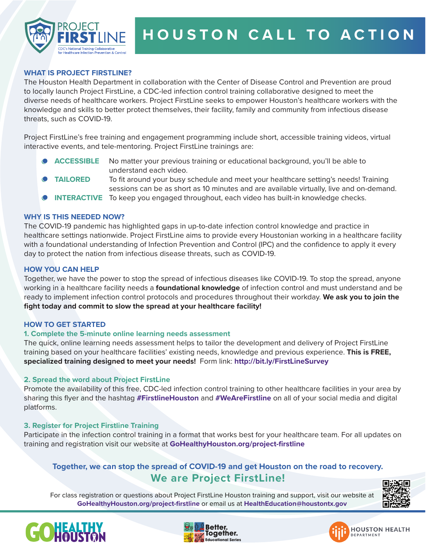

# **WHAT IS PROJECT FIRSTLINE?**

The Houston Health Department in collaboration with the Center of Disease Control and Prevention are proud to locally launch Project FirstLine, a CDC-led infection control training collaborative designed to meet the diverse needs of healthcare workers. Project FirstLine seeks to empower Houston's healthcare workers with the knowledge and skills to better protect themselves, their facility, family and community from infectious disease threats, such as COVID-19.

Project FirstLine's free training and engagement programming include short, accessible training videos, virtual interactive events, and tele-mentoring. Project FirstLine trainings are:

- No matter your previous training or educational background, you'll be able to understand each video. **ACCESSIBLE**
- To fit around your busy schedule and meet your healthcare setting's needs! Training sessions can be as short as 10 minutes and are available virtually, live and on-demand. **TAILORED**
- INTERACTIVE To keep you engaged throughout, each video has built-in knowledge checks.

#### **WHY IS THIS NEEDED NOW?**

The COVID-19 pandemic has highlighted gaps in up-to-date infection control knowledge and practice in healthcare settings nationwide. Project FirstLine aims to provide every Houstonian working in a healthcare facility with a foundational understanding of Infection Prevention and Control (IPC) and the confidence to apply it every day to protect the nation from infectious disease threats, such as COVID-19.

#### **HOW YOU CAN HELP**

Together, we have the power to stop the spread of infectious diseases like COVID-19. To stop the spread, anyone working in a healthcare facility needs a **foundational knowledge** of infection control and must understand and be ready to implement infection control protocols and procedures throughout their workday. **We ask you to join the fight today and commit to slow the spread at your healthcare facility!** 

#### **HOW TO GET STARTED**

# **1. Complete the 5-minute online learning needs assessment**

The quick, online learning needs assessment helps to tailor the development and delivery of Project FirstLine training based on your healthcare facilities' existing needs, knowledge and previous experience. **This is FREE, specialized training designed to meet your needs!** Form link: **http://bit.ly/FirstLineSurvey** 

# **2. Spread the word about Project FirstLine**

Promote the availability of this free, CDC-led infection control training to other healthcare facilities in your area by sharing this flyer and the hashtag **#FirstlineHouston** and **#WeAreFirstline** on all of your social media and digital platforms.

# **3. Register for Project Firstline Training**

Participate in the infection control training in a format that works best for your healthcare team. For all updates on training and registration visit our website at **GoHealthyHouston.org/project-firstline**

# **Together, we can stop the spread of COVID-19 and get Houston on the road to recovery. We are Project FirstLine!**

For class registration or questions about Project FirstLine Houston training and support, visit our website at **GoHealthyHouston.org/project-firstline** or email us at **HealthEducation@houstontx.gov**